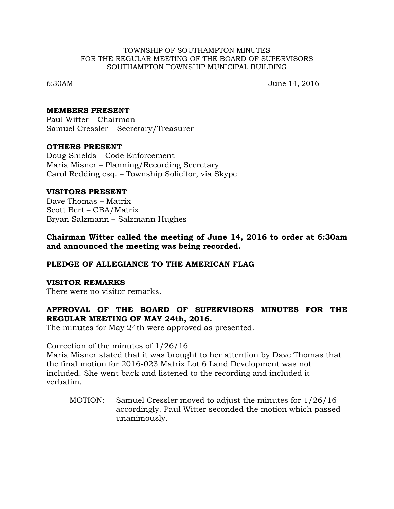#### TOWNSHIP OF SOUTHAMPTON MINUTES FOR THE REGULAR MEETING OF THE BOARD OF SUPERVISORS SOUTHAMPTON TOWNSHIP MUNICIPAL BUILDING

6:30AM June 14, 2016

### **MEMBERS PRESENT**

Paul Witter – Chairman Samuel Cressler – Secretary/Treasurer

## **OTHERS PRESENT**

Doug Shields – Code Enforcement Maria Misner – Planning/Recording Secretary Carol Redding esq. – Township Solicitor, via Skype

## **VISITORS PRESENT**

Dave Thomas – Matrix Scott Bert – CBA/Matrix Bryan Salzmann – Salzmann Hughes

## **Chairman Witter called the meeting of June 14, 2016 to order at 6:30am and announced the meeting was being recorded.**

## **PLEDGE OF ALLEGIANCE TO THE AMERICAN FLAG**

#### **VISITOR REMARKS**

There were no visitor remarks.

# **APPROVAL OF THE BOARD OF SUPERVISORS MINUTES FOR THE REGULAR MEETING OF MAY 24th, 2016.**

The minutes for May 24th were approved as presented.

#### Correction of the minutes of 1/26/16

Maria Misner stated that it was brought to her attention by Dave Thomas that the final motion for 2016-023 Matrix Lot 6 Land Development was not included. She went back and listened to the recording and included it verbatim.

MOTION: Samuel Cressler moved to adjust the minutes for 1/26/16 accordingly. Paul Witter seconded the motion which passed unanimously.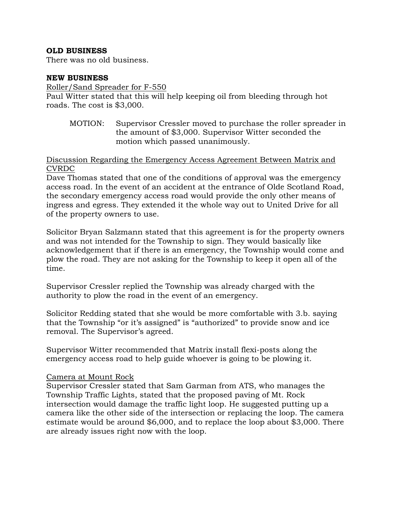## **OLD BUSINESS**

There was no old business.

## **NEW BUSINESS**

Roller/Sand Spreader for F-550

Paul Witter stated that this will help keeping oil from bleeding through hot roads. The cost is \$3,000.

MOTION: Supervisor Cressler moved to purchase the roller spreader in the amount of \$3,000. Supervisor Witter seconded the motion which passed unanimously.

## Discussion Regarding the Emergency Access Agreement Between Matrix and CVRDC

Dave Thomas stated that one of the conditions of approval was the emergency access road. In the event of an accident at the entrance of Olde Scotland Road, the secondary emergency access road would provide the only other means of ingress and egress. They extended it the whole way out to United Drive for all of the property owners to use.

Solicitor Bryan Salzmann stated that this agreement is for the property owners and was not intended for the Township to sign. They would basically like acknowledgement that if there is an emergency, the Township would come and plow the road. They are not asking for the Township to keep it open all of the time.

Supervisor Cressler replied the Township was already charged with the authority to plow the road in the event of an emergency.

Solicitor Redding stated that she would be more comfortable with 3.b. saying that the Township "or it's assigned" is "authorized" to provide snow and ice removal. The Supervisor's agreed.

Supervisor Witter recommended that Matrix install flexi-posts along the emergency access road to help guide whoever is going to be plowing it.

## Camera at Mount Rock

Supervisor Cressler stated that Sam Garman from ATS, who manages the Township Traffic Lights, stated that the proposed paving of Mt. Rock intersection would damage the traffic light loop. He suggested putting up a camera like the other side of the intersection or replacing the loop. The camera estimate would be around \$6,000, and to replace the loop about \$3,000. There are already issues right now with the loop.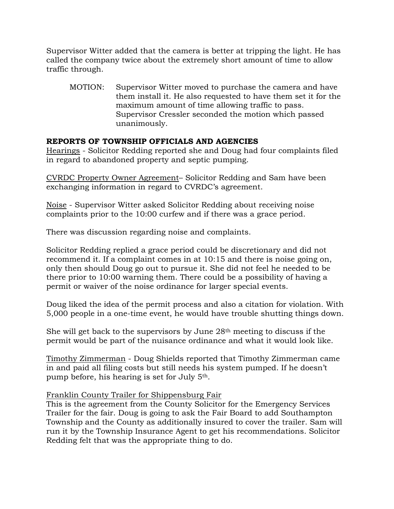Supervisor Witter added that the camera is better at tripping the light. He has called the company twice about the extremely short amount of time to allow traffic through.

MOTION: Supervisor Witter moved to purchase the camera and have them install it. He also requested to have them set it for the maximum amount of time allowing traffic to pass. Supervisor Cressler seconded the motion which passed unanimously.

# **REPORTS OF TOWNSHIP OFFICIALS AND AGENCIES**

Hearings - Solicitor Redding reported she and Doug had four complaints filed in regard to abandoned property and septic pumping.

CVRDC Property Owner Agreement– Solicitor Redding and Sam have been exchanging information in regard to CVRDC's agreement.

Noise - Supervisor Witter asked Solicitor Redding about receiving noise complaints prior to the 10:00 curfew and if there was a grace period.

There was discussion regarding noise and complaints.

Solicitor Redding replied a grace period could be discretionary and did not recommend it. If a complaint comes in at 10:15 and there is noise going on, only then should Doug go out to pursue it. She did not feel he needed to be there prior to 10:00 warning them. There could be a possibility of having a permit or waiver of the noise ordinance for larger special events.

Doug liked the idea of the permit process and also a citation for violation. With 5,000 people in a one-time event, he would have trouble shutting things down.

She will get back to the supervisors by June 28th meeting to discuss if the permit would be part of the nuisance ordinance and what it would look like.

Timothy Zimmerman - Doug Shields reported that Timothy Zimmerman came in and paid all filing costs but still needs his system pumped. If he doesn't pump before, his hearing is set for July 5th.

## Franklin County Trailer for Shippensburg Fair

This is the agreement from the County Solicitor for the Emergency Services Trailer for the fair. Doug is going to ask the Fair Board to add Southampton Township and the County as additionally insured to cover the trailer. Sam will run it by the Township Insurance Agent to get his recommendations. Solicitor Redding felt that was the appropriate thing to do.